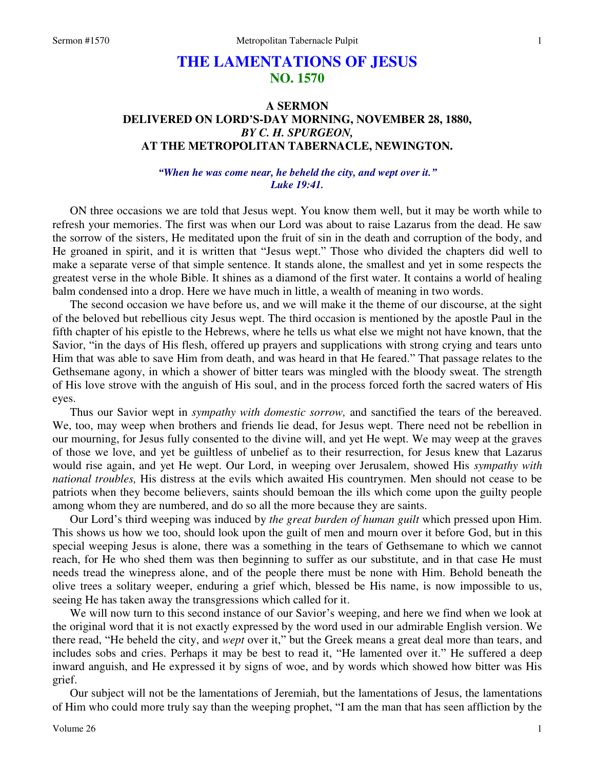# **THE LAMENTATIONS OF JESUS NO. 1570**

## **A SERMON DELIVERED ON LORD'S-DAY MORNING, NOVEMBER 28, 1880,**  *BY C. H. SPURGEON,*  **AT THE METROPOLITAN TABERNACLE, NEWINGTON.**

### *"When he was come near, he beheld the city, and wept over it." Luke 19:41.*

ON three occasions we are told that Jesus wept. You know them well, but it may be worth while to refresh your memories. The first was when our Lord was about to raise Lazarus from the dead. He saw the sorrow of the sisters, He meditated upon the fruit of sin in the death and corruption of the body, and He groaned in spirit, and it is written that "Jesus wept." Those who divided the chapters did well to make a separate verse of that simple sentence. It stands alone, the smallest and yet in some respects the greatest verse in the whole Bible. It shines as a diamond of the first water. It contains a world of healing balm condensed into a drop. Here we have much in little, a wealth of meaning in two words.

 The second occasion we have before us, and we will make it the theme of our discourse, at the sight of the beloved but rebellious city Jesus wept. The third occasion is mentioned by the apostle Paul in the fifth chapter of his epistle to the Hebrews, where he tells us what else we might not have known, that the Savior, "in the days of His flesh, offered up prayers and supplications with strong crying and tears unto Him that was able to save Him from death, and was heard in that He feared." That passage relates to the Gethsemane agony, in which a shower of bitter tears was mingled with the bloody sweat. The strength of His love strove with the anguish of His soul, and in the process forced forth the sacred waters of His eyes.

 Thus our Savior wept in *sympathy with domestic sorrow,* and sanctified the tears of the bereaved. We, too, may weep when brothers and friends lie dead, for Jesus wept. There need not be rebellion in our mourning, for Jesus fully consented to the divine will, and yet He wept. We may weep at the graves of those we love, and yet be guiltless of unbelief as to their resurrection, for Jesus knew that Lazarus would rise again, and yet He wept. Our Lord, in weeping over Jerusalem, showed His *sympathy with national troubles,* His distress at the evils which awaited His countrymen. Men should not cease to be patriots when they become believers, saints should bemoan the ills which come upon the guilty people among whom they are numbered, and do so all the more because they are saints.

 Our Lord's third weeping was induced by *the great burden of human guilt* which pressed upon Him. This shows us how we too, should look upon the guilt of men and mourn over it before God, but in this special weeping Jesus is alone, there was a something in the tears of Gethsemane to which we cannot reach, for He who shed them was then beginning to suffer as our substitute, and in that case He must needs tread the winepress alone, and of the people there must be none with Him. Behold beneath the olive trees a solitary weeper, enduring a grief which, blessed be His name, is now impossible to us, seeing He has taken away the transgressions which called for it.

 We will now turn to this second instance of our Savior's weeping, and here we find when we look at the original word that it is not exactly expressed by the word used in our admirable English version. We there read, "He beheld the city, and *wept* over it," but the Greek means a great deal more than tears, and includes sobs and cries. Perhaps it may be best to read it, "He lamented over it." He suffered a deep inward anguish, and He expressed it by signs of woe, and by words which showed how bitter was His grief.

 Our subject will not be the lamentations of Jeremiah, but the lamentations of Jesus, the lamentations of Him who could more truly say than the weeping prophet, "I am the man that has seen affliction by the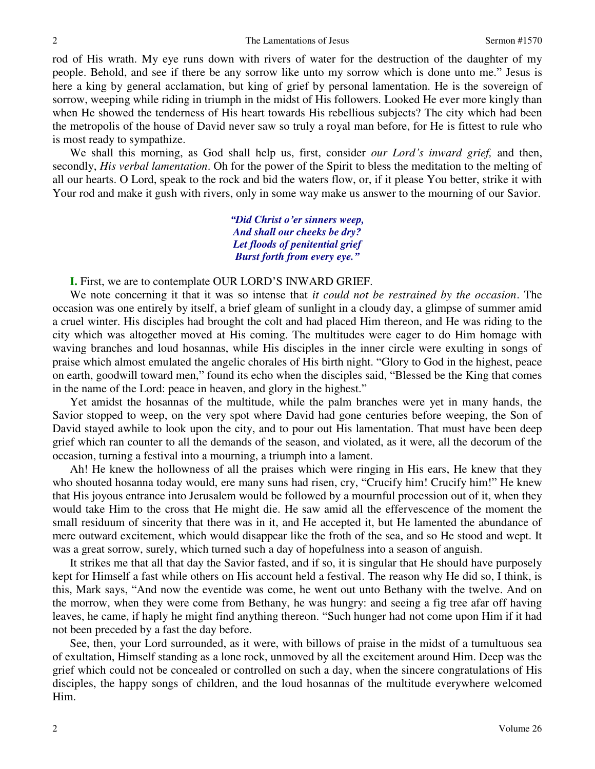rod of His wrath. My eye runs down with rivers of water for the destruction of the daughter of my people. Behold, and see if there be any sorrow like unto my sorrow which is done unto me." Jesus is here a king by general acclamation, but king of grief by personal lamentation. He is the sovereign of sorrow, weeping while riding in triumph in the midst of His followers. Looked He ever more kingly than when He showed the tenderness of His heart towards His rebellious subjects? The city which had been the metropolis of the house of David never saw so truly a royal man before, for He is fittest to rule who is most ready to sympathize.

 We shall this morning, as God shall help us, first, consider *our Lord's inward grief,* and then, secondly, *His verbal lamentation*. Oh for the power of the Spirit to bless the meditation to the melting of all our hearts. O Lord, speak to the rock and bid the waters flow, or, if it please You better, strike it with Your rod and make it gush with rivers, only in some way make us answer to the mourning of our Savior.

> *"Did Christ o'er sinners weep, And shall our cheeks be dry? Let floods of penitential grief Burst forth from every eye."*

**I.** First, we are to contemplate OUR LORD'S INWARD GRIEF.

 We note concerning it that it was so intense that *it could not be restrained by the occasion*. The occasion was one entirely by itself, a brief gleam of sunlight in a cloudy day, a glimpse of summer amid a cruel winter. His disciples had brought the colt and had placed Him thereon, and He was riding to the city which was altogether moved at His coming. The multitudes were eager to do Him homage with waving branches and loud hosannas, while His disciples in the inner circle were exulting in songs of praise which almost emulated the angelic chorales of His birth night. "Glory to God in the highest, peace on earth, goodwill toward men," found its echo when the disciples said, "Blessed be the King that comes in the name of the Lord: peace in heaven, and glory in the highest."

 Yet amidst the hosannas of the multitude, while the palm branches were yet in many hands, the Savior stopped to weep, on the very spot where David had gone centuries before weeping, the Son of David stayed awhile to look upon the city, and to pour out His lamentation. That must have been deep grief which ran counter to all the demands of the season, and violated, as it were, all the decorum of the occasion, turning a festival into a mourning, a triumph into a lament.

Ah! He knew the hollowness of all the praises which were ringing in His ears, He knew that they who shouted hosanna today would, ere many suns had risen, cry, "Crucify him! Crucify him!" He knew that His joyous entrance into Jerusalem would be followed by a mournful procession out of it, when they would take Him to the cross that He might die. He saw amid all the effervescence of the moment the small residuum of sincerity that there was in it, and He accepted it, but He lamented the abundance of mere outward excitement, which would disappear like the froth of the sea, and so He stood and wept. It was a great sorrow, surely, which turned such a day of hopefulness into a season of anguish.

 It strikes me that all that day the Savior fasted, and if so, it is singular that He should have purposely kept for Himself a fast while others on His account held a festival. The reason why He did so, I think, is this, Mark says, "And now the eventide was come, he went out unto Bethany with the twelve. And on the morrow, when they were come from Bethany, he was hungry: and seeing a fig tree afar off having leaves, he came, if haply he might find anything thereon. "Such hunger had not come upon Him if it had not been preceded by a fast the day before.

 See, then, your Lord surrounded, as it were, with billows of praise in the midst of a tumultuous sea of exultation, Himself standing as a lone rock, unmoved by all the excitement around Him. Deep was the grief which could not be concealed or controlled on such a day, when the sincere congratulations of His disciples, the happy songs of children, and the loud hosannas of the multitude everywhere welcomed Him.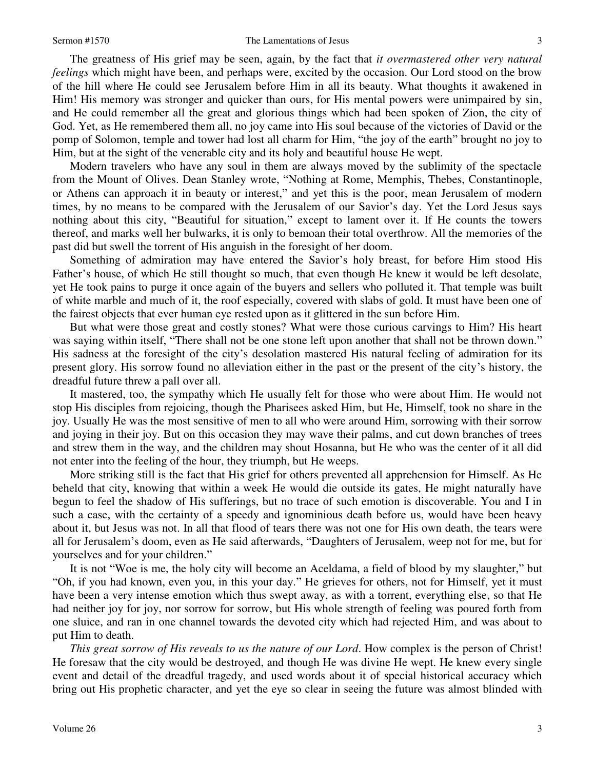#### Sermon #1570 **The Lamentations of Jesus** 3

 The greatness of His grief may be seen, again, by the fact that *it overmastered other very natural feelings* which might have been, and perhaps were, excited by the occasion. Our Lord stood on the brow of the hill where He could see Jerusalem before Him in all its beauty. What thoughts it awakened in Him! His memory was stronger and quicker than ours, for His mental powers were unimpaired by sin, and He could remember all the great and glorious things which had been spoken of Zion, the city of God. Yet, as He remembered them all, no joy came into His soul because of the victories of David or the pomp of Solomon, temple and tower had lost all charm for Him, "the joy of the earth" brought no joy to Him, but at the sight of the venerable city and its holy and beautiful house He wept.

 Modern travelers who have any soul in them are always moved by the sublimity of the spectacle from the Mount of Olives. Dean Stanley wrote, "Nothing at Rome, Memphis, Thebes, Constantinople, or Athens can approach it in beauty or interest," and yet this is the poor, mean Jerusalem of modern times, by no means to be compared with the Jerusalem of our Savior's day. Yet the Lord Jesus says nothing about this city, "Beautiful for situation," except to lament over it. If He counts the towers thereof, and marks well her bulwarks, it is only to bemoan their total overthrow. All the memories of the past did but swell the torrent of His anguish in the foresight of her doom.

 Something of admiration may have entered the Savior's holy breast, for before Him stood His Father's house, of which He still thought so much, that even though He knew it would be left desolate, yet He took pains to purge it once again of the buyers and sellers who polluted it. That temple was built of white marble and much of it, the roof especially, covered with slabs of gold. It must have been one of the fairest objects that ever human eye rested upon as it glittered in the sun before Him.

 But what were those great and costly stones? What were those curious carvings to Him? His heart was saying within itself, "There shall not be one stone left upon another that shall not be thrown down." His sadness at the foresight of the city's desolation mastered His natural feeling of admiration for its present glory. His sorrow found no alleviation either in the past or the present of the city's history, the dreadful future threw a pall over all.

 It mastered, too, the sympathy which He usually felt for those who were about Him. He would not stop His disciples from rejoicing, though the Pharisees asked Him, but He, Himself, took no share in the joy. Usually He was the most sensitive of men to all who were around Him, sorrowing with their sorrow and joying in their joy. But on this occasion they may wave their palms, and cut down branches of trees and strew them in the way, and the children may shout Hosanna, but He who was the center of it all did not enter into the feeling of the hour, they triumph, but He weeps.

 More striking still is the fact that His grief for others prevented all apprehension for Himself. As He beheld that city, knowing that within a week He would die outside its gates, He might naturally have begun to feel the shadow of His sufferings, but no trace of such emotion is discoverable. You and I in such a case, with the certainty of a speedy and ignominious death before us, would have been heavy about it, but Jesus was not. In all that flood of tears there was not one for His own death, the tears were all for Jerusalem's doom, even as He said afterwards, "Daughters of Jerusalem, weep not for me, but for yourselves and for your children."

 It is not "Woe is me, the holy city will become an Aceldama, a field of blood by my slaughter," but "Oh, if you had known, even you, in this your day." He grieves for others, not for Himself, yet it must have been a very intense emotion which thus swept away, as with a torrent, everything else, so that He had neither joy for joy, nor sorrow for sorrow, but His whole strength of feeling was poured forth from one sluice, and ran in one channel towards the devoted city which had rejected Him, and was about to put Him to death.

*This great sorrow of His reveals to us the nature of our Lord*. How complex is the person of Christ! He foresaw that the city would be destroyed, and though He was divine He wept. He knew every single event and detail of the dreadful tragedy, and used words about it of special historical accuracy which bring out His prophetic character, and yet the eye so clear in seeing the future was almost blinded with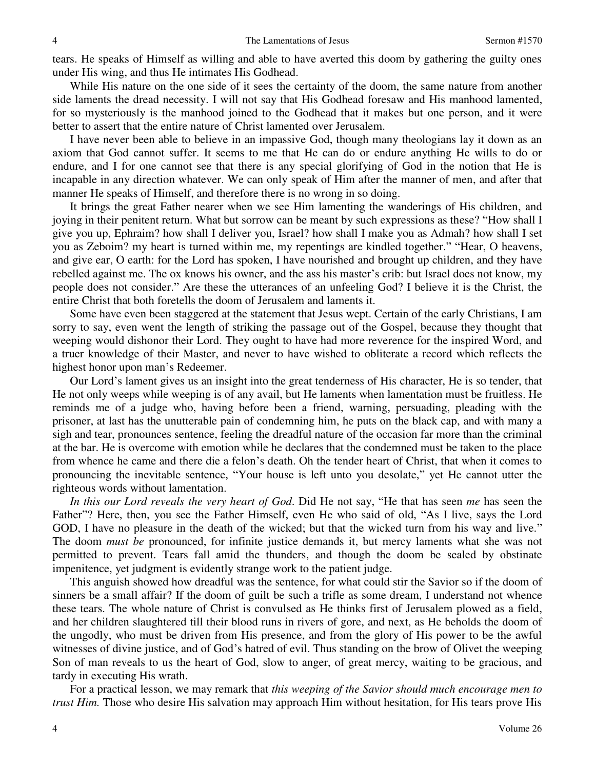tears. He speaks of Himself as willing and able to have averted this doom by gathering the guilty ones under His wing, and thus He intimates His Godhead.

 While His nature on the one side of it sees the certainty of the doom, the same nature from another side laments the dread necessity. I will not say that His Godhead foresaw and His manhood lamented, for so mysteriously is the manhood joined to the Godhead that it makes but one person, and it were better to assert that the entire nature of Christ lamented over Jerusalem.

 I have never been able to believe in an impassive God, though many theologians lay it down as an axiom that God cannot suffer. It seems to me that He can do or endure anything He wills to do or endure, and I for one cannot see that there is any special glorifying of God in the notion that He is incapable in any direction whatever. We can only speak of Him after the manner of men, and after that manner He speaks of Himself, and therefore there is no wrong in so doing.

 It brings the great Father nearer when we see Him lamenting the wanderings of His children, and joying in their penitent return. What but sorrow can be meant by such expressions as these? "How shall I give you up, Ephraim? how shall I deliver you, Israel? how shall I make you as Admah? how shall I set you as Zeboim? my heart is turned within me, my repentings are kindled together." "Hear, O heavens, and give ear, O earth: for the Lord has spoken, I have nourished and brought up children, and they have rebelled against me. The ox knows his owner, and the ass his master's crib: but Israel does not know, my people does not consider." Are these the utterances of an unfeeling God? I believe it is the Christ, the entire Christ that both foretells the doom of Jerusalem and laments it.

 Some have even been staggered at the statement that Jesus wept. Certain of the early Christians, I am sorry to say, even went the length of striking the passage out of the Gospel, because they thought that weeping would dishonor their Lord. They ought to have had more reverence for the inspired Word, and a truer knowledge of their Master, and never to have wished to obliterate a record which reflects the highest honor upon man's Redeemer.

 Our Lord's lament gives us an insight into the great tenderness of His character, He is so tender, that He not only weeps while weeping is of any avail, but He laments when lamentation must be fruitless. He reminds me of a judge who, having before been a friend, warning, persuading, pleading with the prisoner, at last has the unutterable pain of condemning him, he puts on the black cap, and with many a sigh and tear, pronounces sentence, feeling the dreadful nature of the occasion far more than the criminal at the bar. He is overcome with emotion while he declares that the condemned must be taken to the place from whence he came and there die a felon's death. Oh the tender heart of Christ, that when it comes to pronouncing the inevitable sentence, "Your house is left unto you desolate," yet He cannot utter the righteous words without lamentation.

*In this our Lord reveals the very heart of God*. Did He not say, "He that has seen *me* has seen the Father"? Here, then, you see the Father Himself, even He who said of old, "As I live, says the Lord GOD, I have no pleasure in the death of the wicked; but that the wicked turn from his way and live." The doom *must be* pronounced, for infinite justice demands it, but mercy laments what she was not permitted to prevent. Tears fall amid the thunders, and though the doom be sealed by obstinate impenitence, yet judgment is evidently strange work to the patient judge.

 This anguish showed how dreadful was the sentence, for what could stir the Savior so if the doom of sinners be a small affair? If the doom of guilt be such a trifle as some dream, I understand not whence these tears. The whole nature of Christ is convulsed as He thinks first of Jerusalem plowed as a field, and her children slaughtered till their blood runs in rivers of gore, and next, as He beholds the doom of the ungodly, who must be driven from His presence, and from the glory of His power to be the awful witnesses of divine justice, and of God's hatred of evil. Thus standing on the brow of Olivet the weeping Son of man reveals to us the heart of God, slow to anger, of great mercy, waiting to be gracious, and tardy in executing His wrath.

 For a practical lesson, we may remark that *this weeping of the Savior should much encourage men to trust Him.* Those who desire His salvation may approach Him without hesitation, for His tears prove His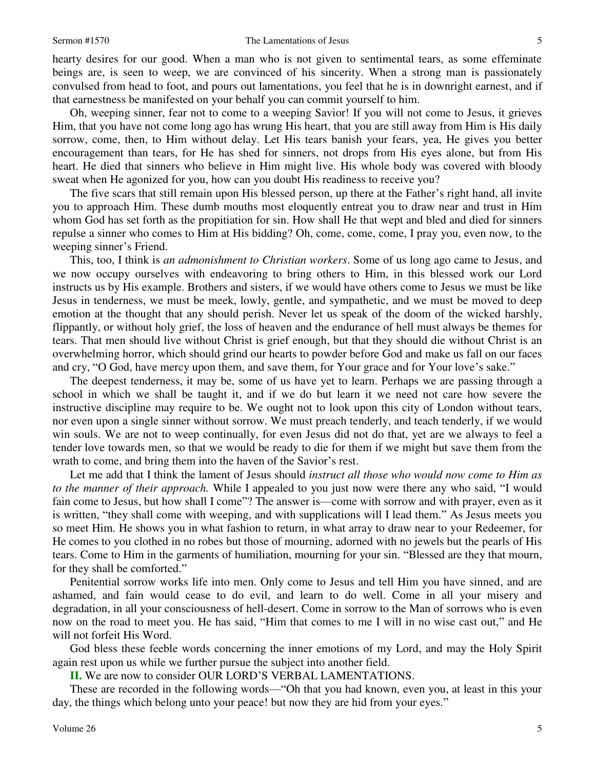hearty desires for our good. When a man who is not given to sentimental tears, as some effeminate beings are, is seen to weep, we are convinced of his sincerity. When a strong man is passionately convulsed from head to foot, and pours out lamentations, you feel that he is in downright earnest, and if that earnestness be manifested on your behalf you can commit yourself to him.

 Oh, weeping sinner, fear not to come to a weeping Savior! If you will not come to Jesus, it grieves Him, that you have not come long ago has wrung His heart, that you are still away from Him is His daily sorrow, come, then, to Him without delay. Let His tears banish your fears, yea, He gives you better encouragement than tears, for He has shed for sinners, not drops from His eyes alone, but from His heart. He died that sinners who believe in Him might live. His whole body was covered with bloody sweat when He agonized for you, how can you doubt His readiness to receive you?

 The five scars that still remain upon His blessed person, up there at the Father's right hand, all invite you to approach Him. These dumb mouths most eloquently entreat you to draw near and trust in Him whom God has set forth as the propitiation for sin. How shall He that wept and bled and died for sinners repulse a sinner who comes to Him at His bidding? Oh, come, come, come, I pray you, even now, to the weeping sinner's Friend.

 This, too, I think is *an admonishment to Christian workers*. Some of us long ago came to Jesus, and we now occupy ourselves with endeavoring to bring others to Him, in this blessed work our Lord instructs us by His example. Brothers and sisters, if we would have others come to Jesus we must be like Jesus in tenderness, we must be meek, lowly, gentle, and sympathetic, and we must be moved to deep emotion at the thought that any should perish. Never let us speak of the doom of the wicked harshly, flippantly, or without holy grief, the loss of heaven and the endurance of hell must always be themes for tears. That men should live without Christ is grief enough, but that they should die without Christ is an overwhelming horror, which should grind our hearts to powder before God and make us fall on our faces and cry, "O God, have mercy upon them, and save them, for Your grace and for Your love's sake."

 The deepest tenderness, it may be, some of us have yet to learn. Perhaps we are passing through a school in which we shall be taught it, and if we do but learn it we need not care how severe the instructive discipline may require to be. We ought not to look upon this city of London without tears, nor even upon a single sinner without sorrow. We must preach tenderly, and teach tenderly, if we would win souls. We are not to weep continually, for even Jesus did not do that, yet are we always to feel a tender love towards men, so that we would be ready to die for them if we might but save them from the wrath to come, and bring them into the haven of the Savior's rest.

 Let me add that I think the lament of Jesus should *instruct all those who would now come to Him as to the manner of their approach.* While I appealed to you just now were there any who said, "I would fain come to Jesus, but how shall I come"? The answer is—come with sorrow and with prayer, even as it is written, "they shall come with weeping, and with supplications will I lead them." As Jesus meets you so meet Him. He shows you in what fashion to return, in what array to draw near to your Redeemer, for He comes to you clothed in no robes but those of mourning, adorned with no jewels but the pearls of His tears. Come to Him in the garments of humiliation, mourning for your sin. "Blessed are they that mourn, for they shall be comforted."

 Penitential sorrow works life into men. Only come to Jesus and tell Him you have sinned, and are ashamed, and fain would cease to do evil, and learn to do well. Come in all your misery and degradation, in all your consciousness of hell-desert. Come in sorrow to the Man of sorrows who is even now on the road to meet you. He has said, "Him that comes to me I will in no wise cast out," and He will not forfeit His Word.

 God bless these feeble words concerning the inner emotions of my Lord, and may the Holy Spirit again rest upon us while we further pursue the subject into another field.

 **II.** We are now to consider OUR LORD'S VERBAL LAMENTATIONS.

 These are recorded in the following words—"Oh that you had known, even you, at least in this your day, the things which belong unto your peace! but now they are hid from your eyes."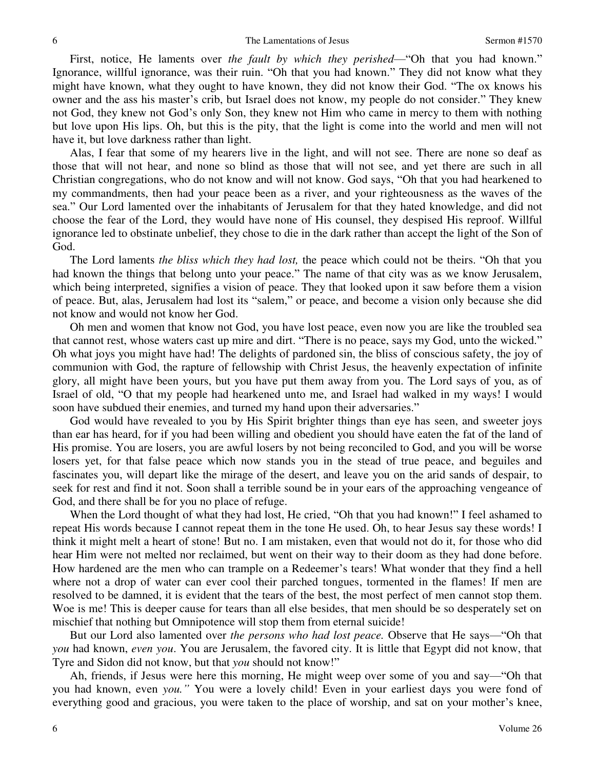First, notice, He laments over *the fault by which they perished*—"Oh that you had known." Ignorance, willful ignorance, was their ruin. "Oh that you had known." They did not know what they might have known, what they ought to have known, they did not know their God. "The ox knows his owner and the ass his master's crib, but Israel does not know, my people do not consider." They knew not God, they knew not God's only Son, they knew not Him who came in mercy to them with nothing but love upon His lips. Oh, but this is the pity, that the light is come into the world and men will not have it, but love darkness rather than light.

 Alas, I fear that some of my hearers live in the light, and will not see. There are none so deaf as those that will not hear, and none so blind as those that will not see, and yet there are such in all Christian congregations, who do not know and will not know. God says, "Oh that you had hearkened to my commandments, then had your peace been as a river, and your righteousness as the waves of the sea." Our Lord lamented over the inhabitants of Jerusalem for that they hated knowledge, and did not choose the fear of the Lord, they would have none of His counsel, they despised His reproof. Willful ignorance led to obstinate unbelief, they chose to die in the dark rather than accept the light of the Son of God.

 The Lord laments *the bliss which they had lost,* the peace which could not be theirs. "Oh that you had known the things that belong unto your peace." The name of that city was as we know Jerusalem, which being interpreted, signifies a vision of peace. They that looked upon it saw before them a vision of peace. But, alas, Jerusalem had lost its "salem," or peace, and become a vision only because she did not know and would not know her God.

 Oh men and women that know not God, you have lost peace, even now you are like the troubled sea that cannot rest, whose waters cast up mire and dirt. "There is no peace, says my God, unto the wicked." Oh what joys you might have had! The delights of pardoned sin, the bliss of conscious safety, the joy of communion with God, the rapture of fellowship with Christ Jesus, the heavenly expectation of infinite glory, all might have been yours, but you have put them away from you. The Lord says of you, as of Israel of old, "O that my people had hearkened unto me, and Israel had walked in my ways! I would soon have subdued their enemies, and turned my hand upon their adversaries."

 God would have revealed to you by His Spirit brighter things than eye has seen, and sweeter joys than ear has heard, for if you had been willing and obedient you should have eaten the fat of the land of His promise. You are losers, you are awful losers by not being reconciled to God, and you will be worse losers yet, for that false peace which now stands you in the stead of true peace, and beguiles and fascinates you, will depart like the mirage of the desert, and leave you on the arid sands of despair, to seek for rest and find it not. Soon shall a terrible sound be in your ears of the approaching vengeance of God, and there shall be for you no place of refuge.

 When the Lord thought of what they had lost, He cried, "Oh that you had known!" I feel ashamed to repeat His words because I cannot repeat them in the tone He used. Oh, to hear Jesus say these words! I think it might melt a heart of stone! But no. I am mistaken, even that would not do it, for those who did hear Him were not melted nor reclaimed, but went on their way to their doom as they had done before. How hardened are the men who can trample on a Redeemer's tears! What wonder that they find a hell where not a drop of water can ever cool their parched tongues, tormented in the flames! If men are resolved to be damned, it is evident that the tears of the best, the most perfect of men cannot stop them. Woe is me! This is deeper cause for tears than all else besides, that men should be so desperately set on mischief that nothing but Omnipotence will stop them from eternal suicide!

 But our Lord also lamented over *the persons who had lost peace.* Observe that He says—"Oh that *you* had known, *even you*. You are Jerusalem, the favored city. It is little that Egypt did not know, that Tyre and Sidon did not know, but that *you* should not know!"

 Ah, friends, if Jesus were here this morning, He might weep over some of you and say—"Oh that you had known, even *you."* You were a lovely child! Even in your earliest days you were fond of everything good and gracious, you were taken to the place of worship, and sat on your mother's knee,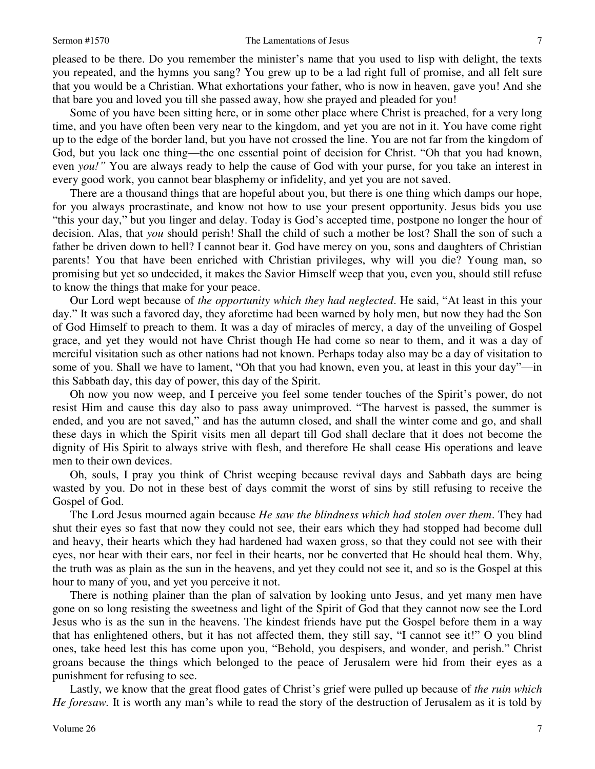#### Sermon #1570 **The Lamentations of Jesus** 7

pleased to be there. Do you remember the minister's name that you used to lisp with delight, the texts you repeated, and the hymns you sang? You grew up to be a lad right full of promise, and all felt sure that you would be a Christian. What exhortations your father, who is now in heaven, gave you! And she that bare you and loved you till she passed away, how she prayed and pleaded for you!

 Some of you have been sitting here, or in some other place where Christ is preached, for a very long time, and you have often been very near to the kingdom, and yet you are not in it. You have come right up to the edge of the border land, but you have not crossed the line. You are not far from the kingdom of God, but you lack one thing—the one essential point of decision for Christ. "Oh that you had known, even *you!"* You are always ready to help the cause of God with your purse, for you take an interest in every good work, you cannot bear blasphemy or infidelity, and yet you are not saved.

 There are a thousand things that are hopeful about you, but there is one thing which damps our hope, for you always procrastinate, and know not how to use your present opportunity. Jesus bids you use "this your day," but you linger and delay. Today is God's accepted time, postpone no longer the hour of decision. Alas, that *you* should perish! Shall the child of such a mother be lost? Shall the son of such a father be driven down to hell? I cannot bear it. God have mercy on you, sons and daughters of Christian parents! You that have been enriched with Christian privileges, why will you die? Young man, so promising but yet so undecided, it makes the Savior Himself weep that you, even you, should still refuse to know the things that make for your peace.

 Our Lord wept because of *the opportunity which they had neglected*. He said, "At least in this your day." It was such a favored day, they aforetime had been warned by holy men, but now they had the Son of God Himself to preach to them. It was a day of miracles of mercy, a day of the unveiling of Gospel grace, and yet they would not have Christ though He had come so near to them, and it was a day of merciful visitation such as other nations had not known. Perhaps today also may be a day of visitation to some of you. Shall we have to lament, "Oh that you had known, even you, at least in this your day"—in this Sabbath day, this day of power, this day of the Spirit.

 Oh now you now weep, and I perceive you feel some tender touches of the Spirit's power, do not resist Him and cause this day also to pass away unimproved. "The harvest is passed, the summer is ended, and you are not saved," and has the autumn closed, and shall the winter come and go, and shall these days in which the Spirit visits men all depart till God shall declare that it does not become the dignity of His Spirit to always strive with flesh, and therefore He shall cease His operations and leave men to their own devices.

 Oh, souls, I pray you think of Christ weeping because revival days and Sabbath days are being wasted by you. Do not in these best of days commit the worst of sins by still refusing to receive the Gospel of God.

 The Lord Jesus mourned again because *He saw the blindness which had stolen over them*. They had shut their eyes so fast that now they could not see, their ears which they had stopped had become dull and heavy, their hearts which they had hardened had waxen gross, so that they could not see with their eyes, nor hear with their ears, nor feel in their hearts, nor be converted that He should heal them. Why, the truth was as plain as the sun in the heavens, and yet they could not see it, and so is the Gospel at this hour to many of you, and yet you perceive it not.

 There is nothing plainer than the plan of salvation by looking unto Jesus, and yet many men have gone on so long resisting the sweetness and light of the Spirit of God that they cannot now see the Lord Jesus who is as the sun in the heavens. The kindest friends have put the Gospel before them in a way that has enlightened others, but it has not affected them, they still say, "I cannot see it!" O you blind ones, take heed lest this has come upon you, "Behold, you despisers, and wonder, and perish." Christ groans because the things which belonged to the peace of Jerusalem were hid from their eyes as a punishment for refusing to see.

 Lastly, we know that the great flood gates of Christ's grief were pulled up because of *the ruin which He foresaw.* It is worth any man's while to read the story of the destruction of Jerusalem as it is told by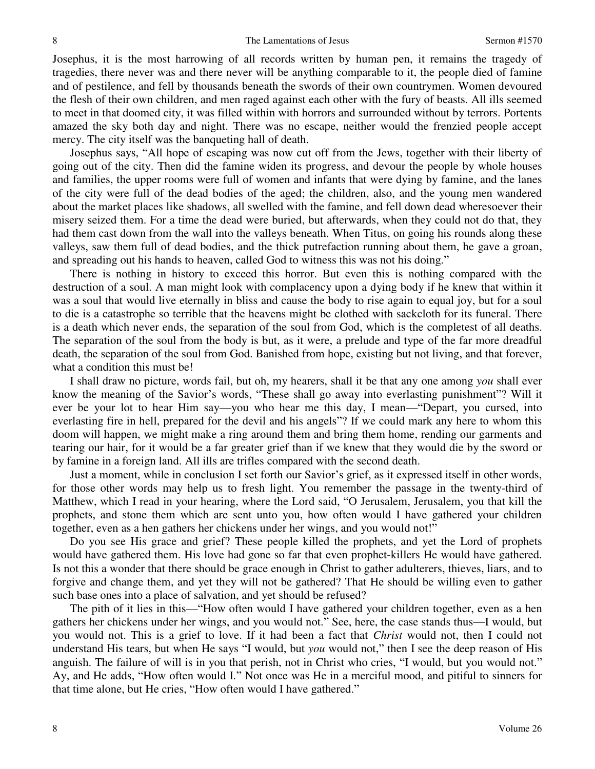Josephus, it is the most harrowing of all records written by human pen, it remains the tragedy of tragedies, there never was and there never will be anything comparable to it, the people died of famine and of pestilence, and fell by thousands beneath the swords of their own countrymen. Women devoured the flesh of their own children, and men raged against each other with the fury of beasts. All ills seemed to meet in that doomed city, it was filled within with horrors and surrounded without by terrors. Portents amazed the sky both day and night. There was no escape, neither would the frenzied people accept mercy. The city itself was the banqueting hall of death.

 Josephus says, "All hope of escaping was now cut off from the Jews, together with their liberty of going out of the city. Then did the famine widen its progress, and devour the people by whole houses and families, the upper rooms were full of women and infants that were dying by famine, and the lanes of the city were full of the dead bodies of the aged; the children, also, and the young men wandered about the market places like shadows, all swelled with the famine, and fell down dead wheresoever their misery seized them. For a time the dead were buried, but afterwards, when they could not do that, they had them cast down from the wall into the valleys beneath. When Titus, on going his rounds along these valleys, saw them full of dead bodies, and the thick putrefaction running about them, he gave a groan, and spreading out his hands to heaven, called God to witness this was not his doing."

 There is nothing in history to exceed this horror. But even this is nothing compared with the destruction of a soul. A man might look with complacency upon a dying body if he knew that within it was a soul that would live eternally in bliss and cause the body to rise again to equal joy, but for a soul to die is a catastrophe so terrible that the heavens might be clothed with sackcloth for its funeral. There is a death which never ends, the separation of the soul from God, which is the completest of all deaths. The separation of the soul from the body is but, as it were, a prelude and type of the far more dreadful death, the separation of the soul from God. Banished from hope, existing but not living, and that forever, what a condition this must be!

 I shall draw no picture, words fail, but oh, my hearers, shall it be that any one among *you* shall ever know the meaning of the Savior's words, "These shall go away into everlasting punishment"? Will it ever be your lot to hear Him say—you who hear me this day, I mean—"Depart, you cursed, into everlasting fire in hell, prepared for the devil and his angels"? If we could mark any here to whom this doom will happen, we might make a ring around them and bring them home, rending our garments and tearing our hair, for it would be a far greater grief than if we knew that they would die by the sword or by famine in a foreign land. All ills are trifles compared with the second death.

 Just a moment, while in conclusion I set forth our Savior's grief, as it expressed itself in other words, for those other words may help us to fresh light. You remember the passage in the twenty-third of Matthew, which I read in your hearing, where the Lord said, "O Jerusalem, Jerusalem, you that kill the prophets, and stone them which are sent unto you, how often would I have gathered your children together, even as a hen gathers her chickens under her wings, and you would not!"

 Do you see His grace and grief? These people killed the prophets, and yet the Lord of prophets would have gathered them. His love had gone so far that even prophet-killers He would have gathered. Is not this a wonder that there should be grace enough in Christ to gather adulterers, thieves, liars, and to forgive and change them, and yet they will not be gathered? That He should be willing even to gather such base ones into a place of salvation, and yet should be refused?

 The pith of it lies in this—"How often would I have gathered your children together, even as a hen gathers her chickens under her wings, and you would not." See, here, the case stands thus—I would, but you would not. This is a grief to love. If it had been a fact that *Christ* would not, then I could not understand His tears, but when He says "I would, but *you* would not," then I see the deep reason of His anguish. The failure of will is in you that perish, not in Christ who cries, "I would, but you would not." Ay, and He adds, "How often would I." Not once was He in a merciful mood, and pitiful to sinners for that time alone, but He cries, "How often would I have gathered."